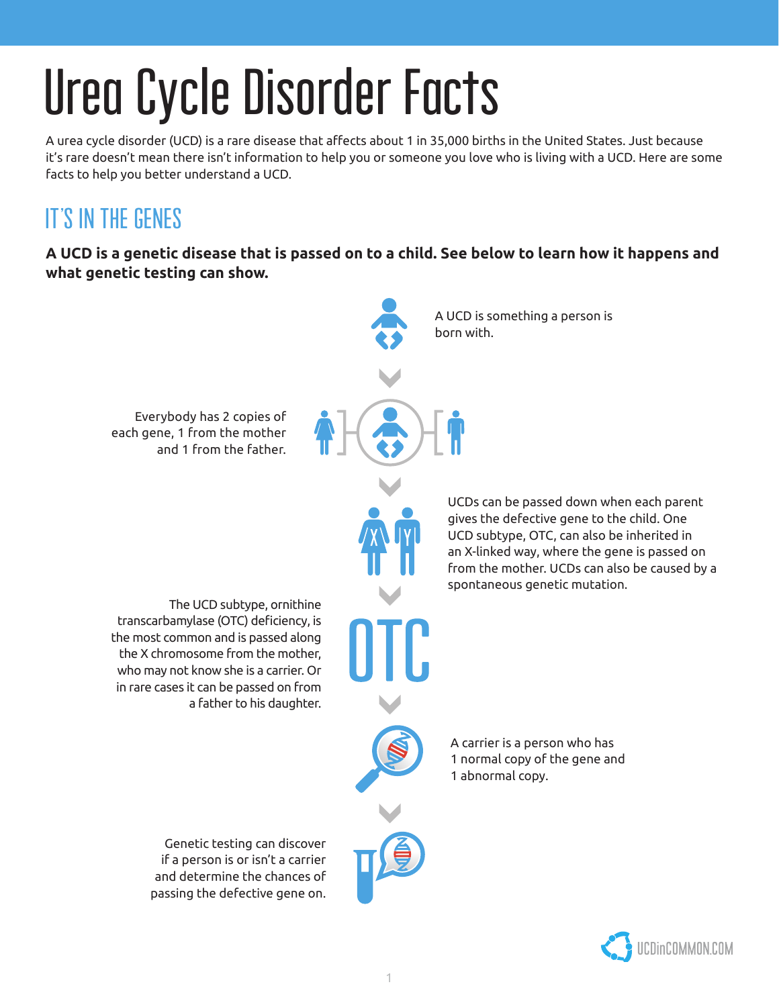# Urea Cycle Disorder Facts

A urea cycle disorder (UCD) is a rare disease that affects about 1 in 35,000 births in the United States. Just because it's rare doesn't mean there isn't information to help you or someone you love who is living with a UCD. Here are some facts to help you better understand a UCD.

# IT'S IN THE GENES

**A UCD is a genetic disease that is passed on to a child. See below to learn how it happens and what genetic testing can show.**



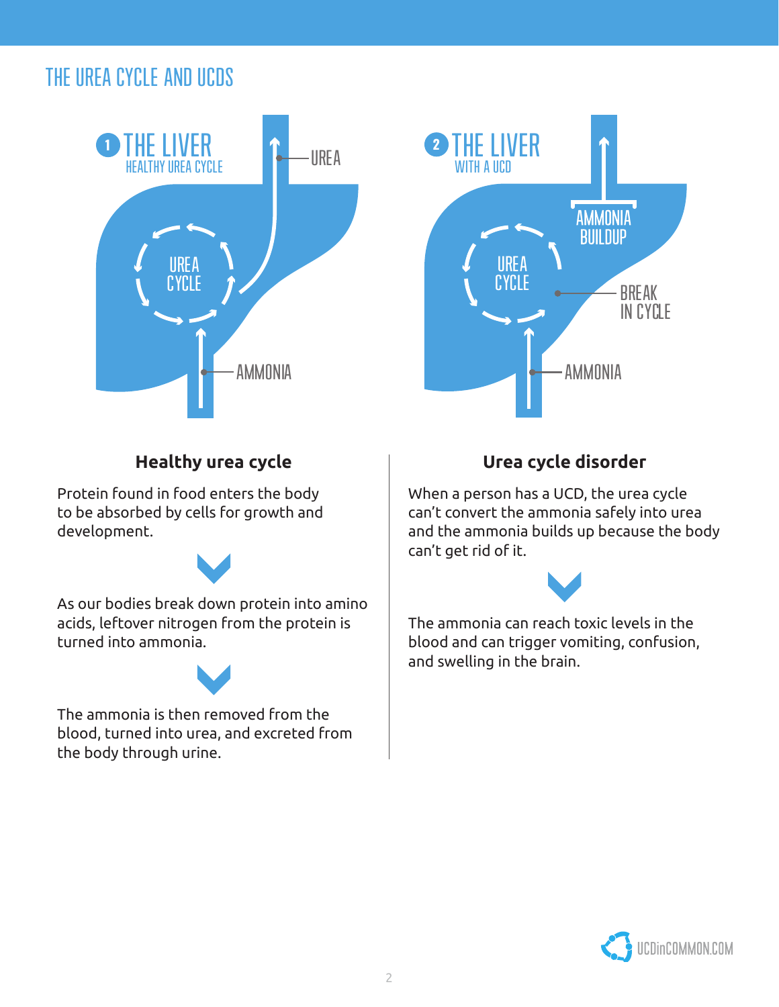## THE UREA CYCLE AND UCDS





## **Healthy urea cycle**

Protein found in food enters the body to be absorbed by cells for growth and development.



As our bodies break down protein into amino acids, leftover nitrogen from the protein is turned into ammonia.



The ammonia is then removed from the blood, turned into urea, and excreted from the body through urine.

## **Urea cycle disorder**

When a person has a UCD, the urea cycle can't convert the ammonia safely into urea and the ammonia builds up because the body can't get rid of it.



The ammonia can reach toxic levels in the blood and can trigger vomiting, confusion, and swelling in the brain.

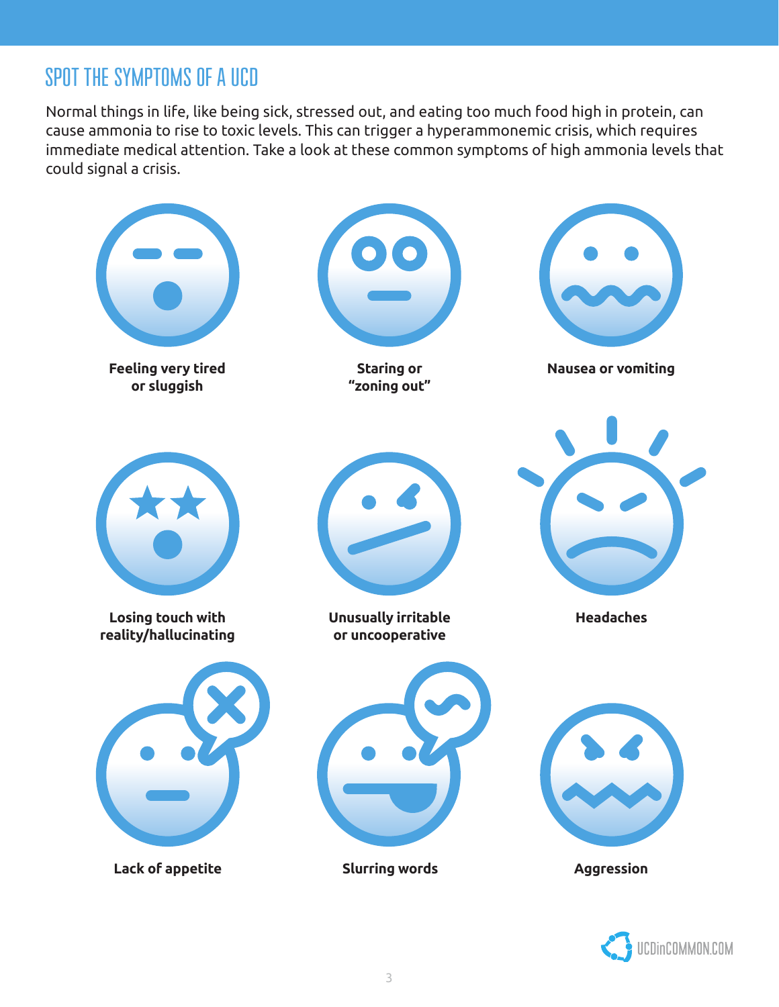## SPOT THE SYMPTOMS OF A UCD

Normal things in life, like being sick, stressed out, and eating too much food high in protein, can cause ammonia to rise to toxic levels. This can trigger a hyperammonemic crisis, which requires immediate medical attention. Take a look at these common symptoms of high ammonia levels that could signal a crisis.